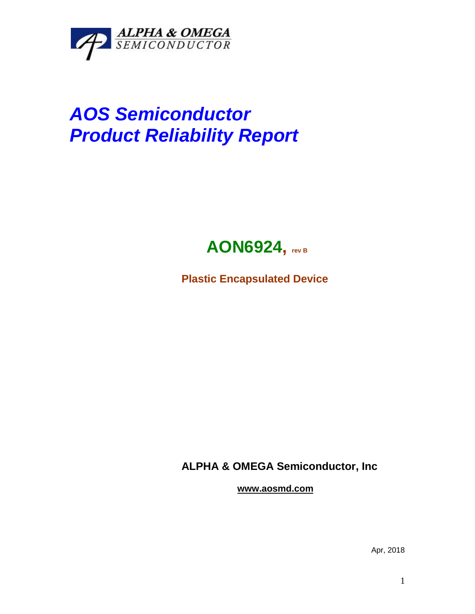

## *AOS Semiconductor Product Reliability Report*



**Plastic Encapsulated Device**

**ALPHA & OMEGA Semiconductor, Inc**

**www.aosmd.com**

Apr, 2018